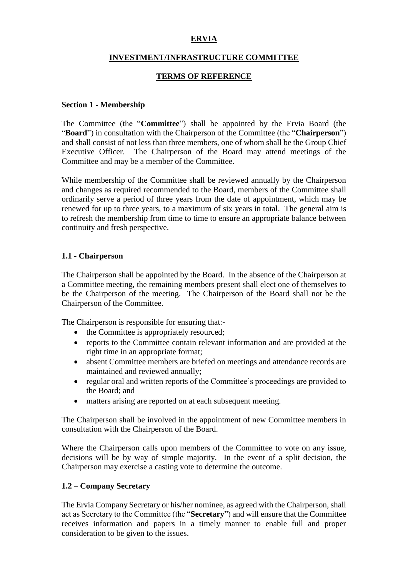# **ERVIA**

#### **INVESTMENT/INFRASTRUCTURE COMMITTEE**

### **TERMS OF REFERENCE**

#### **Section 1 - Membership**

The Committee (the "**Committee**") shall be appointed by the Ervia Board (the "**Board**") in consultation with the Chairperson of the Committee (the "**Chairperson**") and shall consist of not less than three members, one of whom shall be the Group Chief Executive Officer. The Chairperson of the Board may attend meetings of the Committee and may be a member of the Committee.

While membership of the Committee shall be reviewed annually by the Chairperson and changes as required recommended to the Board, members of the Committee shall ordinarily serve a period of three years from the date of appointment, which may be renewed for up to three years, to a maximum of six years in total. The general aim is to refresh the membership from time to time to ensure an appropriate balance between continuity and fresh perspective.

### **1.1 - Chairperson**

The Chairperson shall be appointed by the Board. In the absence of the Chairperson at a Committee meeting, the remaining members present shall elect one of themselves to be the Chairperson of the meeting. The Chairperson of the Board shall not be the Chairperson of the Committee.

The Chairperson is responsible for ensuring that:-

- the Committee is appropriately resourced;
- reports to the Committee contain relevant information and are provided at the right time in an appropriate format;
- absent Committee members are briefed on meetings and attendance records are maintained and reviewed annually;
- regular oral and written reports of the Committee's proceedings are provided to the Board; and
- matters arising are reported on at each subsequent meeting.

The Chairperson shall be involved in the appointment of new Committee members in consultation with the Chairperson of the Board.

Where the Chairperson calls upon members of the Committee to vote on any issue, decisions will be by way of simple majority. In the event of a split decision, the Chairperson may exercise a casting vote to determine the outcome.

# **1.2 – Company Secretary**

The Ervia Company Secretary or his/her nominee, as agreed with the Chairperson, shall act as Secretary to the Committee (the "**Secretary**") and will ensure that the Committee receives information and papers in a timely manner to enable full and proper consideration to be given to the issues.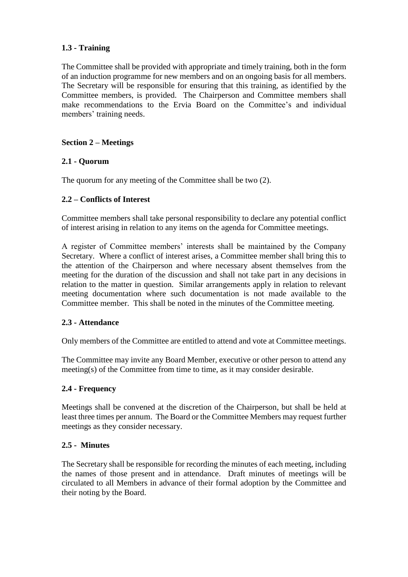# **1.3 - Training**

The Committee shall be provided with appropriate and timely training, both in the form of an induction programme for new members and on an ongoing basis for all members. The Secretary will be responsible for ensuring that this training, as identified by the Committee members, is provided. The Chairperson and Committee members shall make recommendations to the Ervia Board on the Committee's and individual members' training needs.

# **Section 2 – Meetings**

# **2.1 - Quorum**

The quorum for any meeting of the Committee shall be two (2).

# **2.2 – Conflicts of Interest**

Committee members shall take personal responsibility to declare any potential conflict of interest arising in relation to any items on the agenda for Committee meetings.

A register of Committee members' interests shall be maintained by the Company Secretary. Where a conflict of interest arises, a Committee member shall bring this to the attention of the Chairperson and where necessary absent themselves from the meeting for the duration of the discussion and shall not take part in any decisions in relation to the matter in question. Similar arrangements apply in relation to relevant meeting documentation where such documentation is not made available to the Committee member. This shall be noted in the minutes of the Committee meeting.

#### **2.3 - Attendance**

Only members of the Committee are entitled to attend and vote at Committee meetings.

The Committee may invite any Board Member, executive or other person to attend any meeting(s) of the Committee from time to time, as it may consider desirable.

#### **2.4 - Frequency**

Meetings shall be convened at the discretion of the Chairperson, but shall be held at least three times per annum. The Board or the Committee Members may request further meetings as they consider necessary.

#### **2.5 - Minutes**

The Secretary shall be responsible for recording the minutes of each meeting, including the names of those present and in attendance. Draft minutes of meetings will be circulated to all Members in advance of their formal adoption by the Committee and their noting by the Board.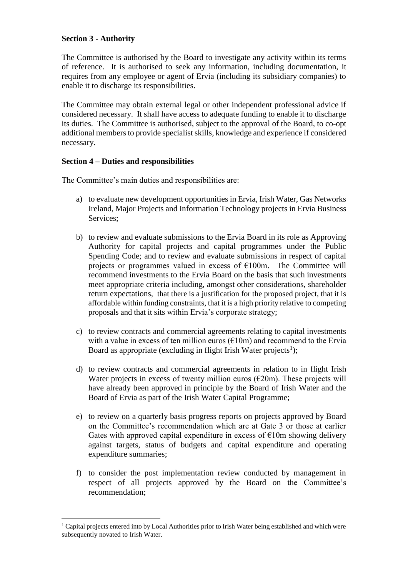# **Section 3 - Authority**

The Committee is authorised by the Board to investigate any activity within its terms of reference. It is authorised to seek any information, including documentation, it requires from any employee or agent of Ervia (including its subsidiary companies) to enable it to discharge its responsibilities.

The Committee may obtain external legal or other independent professional advice if considered necessary. It shall have access to adequate funding to enable it to discharge its duties. The Committee is authorised, subject to the approval of the Board, to co-opt additional members to provide specialist skills, knowledge and experience if considered necessary.

### **Section 4 – Duties and responsibilities**

The Committee's main duties and responsibilities are:

- a) to evaluate new development opportunities in Ervia, Irish Water, Gas Networks Ireland, Major Projects and Information Technology projects in Ervia Business Services;
- b) to review and evaluate submissions to the Ervia Board in its role as Approving Authority for capital projects and capital programmes under the Public Spending Code; and to review and evaluate submissions in respect of capital projects or programmes valued in excess of  $£100m$ . The Committee will recommend investments to the Ervia Board on the basis that such investments meet appropriate criteria including, amongst other considerations, shareholder return expectations, that there is a justification for the proposed project, that it is affordable within funding constraints, that it is a high priority relative to competing proposals and that it sits within Ervia's corporate strategy;
- c) to review contracts and commercial agreements relating to capital investments with a value in excess of ten million euros  $(\text{\textsterling}10m)$  and recommend to the Ervia Board as appropriate (excluding in flight Irish Water projects<sup>1</sup>);
- d) to review contracts and commercial agreements in relation to in flight Irish Water projects in excess of twenty million euros  $(\text{\textsterling}20m)$ . These projects will have already been approved in principle by the Board of Irish Water and the Board of Ervia as part of the Irish Water Capital Programme;
- e) to review on a quarterly basis progress reports on projects approved by Board on the Committee's recommendation which are at Gate 3 or those at earlier Gates with approved capital expenditure in excess of  $E10m$  showing delivery against targets, status of budgets and capital expenditure and operating expenditure summaries;
- f) to consider the post implementation review conducted by management in respect of all projects approved by the Board on the Committee's recommendation;

<sup>1</sup> <sup>1</sup> Capital projects entered into by Local Authorities prior to Irish Water being established and which were subsequently novated to Irish Water.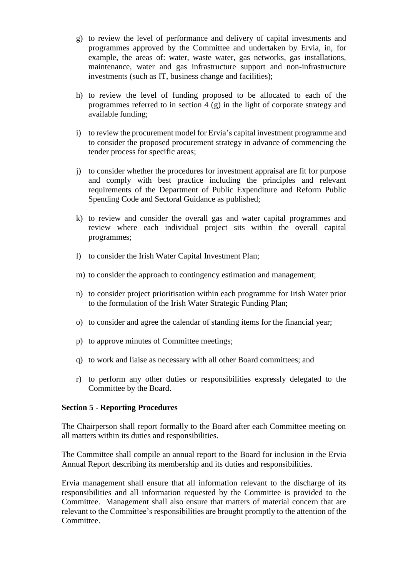- g) to review the level of performance and delivery of capital investments and programmes approved by the Committee and undertaken by Ervia, in, for example, the areas of: water, waste water, gas networks, gas installations, maintenance, water and gas infrastructure support and non-infrastructure investments (such as IT, business change and facilities);
- h) to review the level of funding proposed to be allocated to each of the programmes referred to in section 4 (g) in the light of corporate strategy and available funding;
- i) to review the procurement model for Ervia's capital investment programme and to consider the proposed procurement strategy in advance of commencing the tender process for specific areas;
- j) to consider whether the procedures for investment appraisal are fit for purpose and comply with best practice including the principles and relevant requirements of the Department of Public Expenditure and Reform Public Spending Code and Sectoral Guidance as published;
- k) to review and consider the overall gas and water capital programmes and review where each individual project sits within the overall capital programmes;
- l) to consider the Irish Water Capital Investment Plan;
- m) to consider the approach to contingency estimation and management;
- n) to consider project prioritisation within each programme for Irish Water prior to the formulation of the Irish Water Strategic Funding Plan;
- o) to consider and agree the calendar of standing items for the financial year;
- p) to approve minutes of Committee meetings;
- q) to work and liaise as necessary with all other Board committees; and
- r) to perform any other duties or responsibilities expressly delegated to the Committee by the Board.

#### **Section 5 - Reporting Procedures**

The Chairperson shall report formally to the Board after each Committee meeting on all matters within its duties and responsibilities.

The Committee shall compile an annual report to the Board for inclusion in the Ervia Annual Report describing its membership and its duties and responsibilities.

Ervia management shall ensure that all information relevant to the discharge of its responsibilities and all information requested by the Committee is provided to the Committee. Management shall also ensure that matters of material concern that are relevant to the Committee's responsibilities are brought promptly to the attention of the Committee.